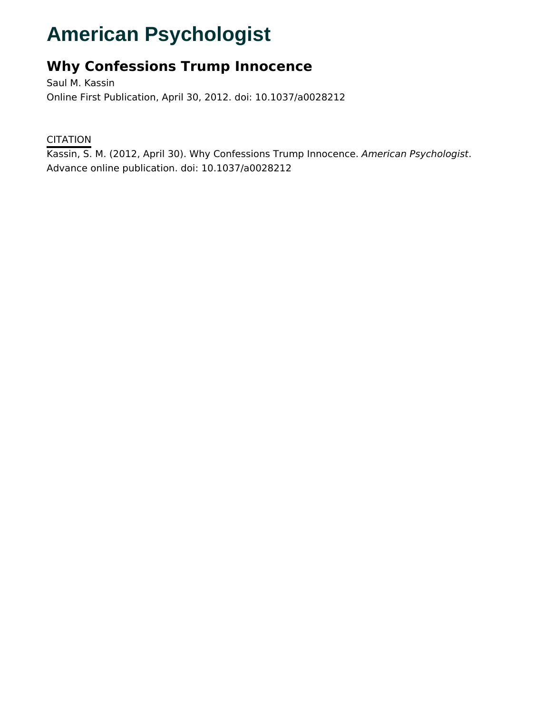# **American Psychologist**

## **Why Confessions Trump Innocence**

Saul M. Kassin Online First Publication, April 30, 2012. doi: 10.1037/a0028212

### CITATION

Kassin, S. M. (2012, April 30). Why Confessions Trump Innocence. American Psychologist. Advance online publication. doi: 10.1037/a0028212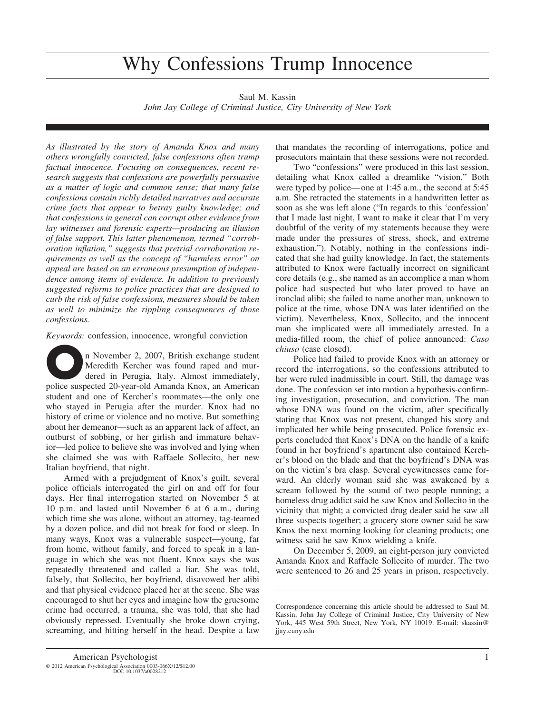## Why Confessions Trump Innocence

Saul M. Kassin *John Jay College of Criminal Justice, City University of New York*

*As illustrated by the story of Amanda Knox and many others wrongfully convicted, false confessions often trump factual innocence. Focusing on consequences, recent research suggests that confessions are powerfully persuasive as a matter of logic and common sense; that many false confessions contain richly detailed narratives and accurate crime facts that appear to betray guilty knowledge; and that confessions in general can corrupt other evidence from lay witnesses and forensic experts—producing an illusion of false support. This latter phenomenon, termed "corroboration inflation," suggests that pretrial corroboration requirements as well as the concept of "harmless error" on appeal are based on an erroneous presumption of independence among items of evidence. In addition to previously suggested reforms to police practices that are designed to curb the risk of false confessions, measures should be taken as well to minimize the rippling consequences of those confessions.*

*Keywords:* confession, innocence, wrongful conviction

In November 2, 2007, British exchange student<br>Meredith Kercher was found raped and mur-<br>dered in Perugia, Italy. Almost immediately,<br>police suspected 20-year-old Amanda Knox, an American Meredith Kercher was found raped and murdered in Perugia, Italy. Almost immediately, police suspected 20-year-old Amanda Knox, an American student and one of Kercher's roommates—the only one who stayed in Perugia after the murder. Knox had no history of crime or violence and no motive. But something about her demeanor—such as an apparent lack of affect, an outburst of sobbing, or her girlish and immature behavior—led police to believe she was involved and lying when she claimed she was with Raffaele Sollecito, her new Italian boyfriend, that night.

Armed with a prejudgment of Knox's guilt, several police officials interrogated the girl on and off for four days. Her final interrogation started on November 5 at 10 p.m. and lasted until November 6 at 6 a.m., during which time she was alone, without an attorney, tag-teamed by a dozen police, and did not break for food or sleep. In many ways, Knox was a vulnerable suspect—young, far from home, without family, and forced to speak in a language in which she was not fluent. Knox says she was repeatedly threatened and called a liar. She was told, falsely, that Sollecito, her boyfriend, disavowed her alibi and that physical evidence placed her at the scene. She was encouraged to shut her eyes and imagine how the gruesome crime had occurred, a trauma, she was told, that she had obviously repressed. Eventually she broke down crying, screaming, and hitting herself in the head. Despite a law

that mandates the recording of interrogations, police and prosecutors maintain that these sessions were not recorded.

Two "confessions" were produced in this last session, detailing what Knox called a dreamlike "vision." Both were typed by police—one at 1:45 a.m., the second at 5:45 a.m. She retracted the statements in a handwritten letter as soon as she was left alone ("In regards to this 'confession' that I made last night, I want to make it clear that I'm very doubtful of the verity of my statements because they were made under the pressures of stress, shock, and extreme exhaustion."). Notably, nothing in the confessions indicated that she had guilty knowledge. In fact, the statements attributed to Knox were factually incorrect on significant core details (e.g., she named as an accomplice a man whom police had suspected but who later proved to have an ironclad alibi; she failed to name another man, unknown to police at the time, whose DNA was later identified on the victim). Nevertheless, Knox, Sollecito, and the innocent man she implicated were all immediately arrested. In a media-filled room, the chief of police announced: *Caso chiuso* (case closed).

Police had failed to provide Knox with an attorney or record the interrogations, so the confessions attributed to her were ruled inadmissible in court. Still, the damage was done. The confession set into motion a hypothesis-confirming investigation, prosecution, and conviction. The man whose DNA was found on the victim, after specifically stating that Knox was not present, changed his story and implicated her while being prosecuted. Police forensic experts concluded that Knox's DNA on the handle of a knife found in her boyfriend's apartment also contained Kercher's blood on the blade and that the boyfriend's DNA was on the victim's bra clasp. Several eyewitnesses came forward. An elderly woman said she was awakened by a scream followed by the sound of two people running; a homeless drug addict said he saw Knox and Sollecito in the vicinity that night; a convicted drug dealer said he saw all three suspects together; a grocery store owner said he saw Knox the next morning looking for cleaning products; one witness said he saw Knox wielding a knife.

On December 5, 2009, an eight-person jury convicted Amanda Knox and Raffaele Sollecito of murder. The two were sentenced to 26 and 25 years in prison, respectively.

Correspondence concerning this article should be addressed to Saul M. Kassin, John Jay College of Criminal Justice, City University of New York, 445 West 59th Street, New York, NY 10019. E-mail: skassin@ jjay.cuny.edu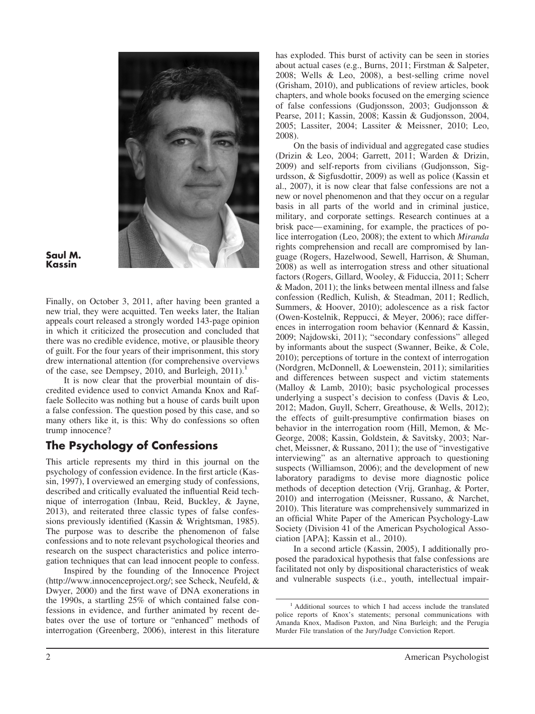

**Saul M. Kassin**

Finally, on October 3, 2011, after having been granted a new trial, they were acquitted. Ten weeks later, the Italian appeals court released a strongly worded 143-page opinion in which it criticized the prosecution and concluded that there was no credible evidence, motive, or plausible theory of guilt. For the four years of their imprisonment, this story drew international attention (for comprehensive overviews of the case, see Dempsey, 2010, and Burleigh,  $2011$ ).<sup>1</sup>

It is now clear that the proverbial mountain of discredited evidence used to convict Amanda Knox and Raffaele Sollecito was nothing but a house of cards built upon a false confession. The question posed by this case, and so many others like it, is this: Why do confessions so often trump innocence?

## **The Psychology of Confessions**

This article represents my third in this journal on the psychology of confession evidence. In the first article (Kassin, 1997), I overviewed an emerging study of confessions, described and critically evaluated the influential Reid technique of interrogation (Inbau, Reid, Buckley, & Jayne, 2013), and reiterated three classic types of false confessions previously identified (Kassin & Wrightsman, 1985). The purpose was to describe the phenomenon of false confessions and to note relevant psychological theories and research on the suspect characteristics and police interrogation techniques that can lead innocent people to confess.

Inspired by the founding of the Innocence Project (http://www.innocenceproject.org/; see Scheck, Neufeld, & Dwyer, 2000) and the first wave of DNA exonerations in the 1990s, a startling 25% of which contained false confessions in evidence, and further animated by recent debates over the use of torture or "enhanced" methods of interrogation (Greenberg, 2006), interest in this literature

has exploded. This burst of activity can be seen in stories about actual cases (e.g., Burns, 2011; Firstman & Salpeter, 2008; Wells & Leo, 2008), a best-selling crime novel (Grisham, 2010), and publications of review articles, book chapters, and whole books focused on the emerging science of false confessions (Gudjonsson, 2003; Gudjonsson & Pearse, 2011; Kassin, 2008; Kassin & Gudjonsson, 2004, 2005; Lassiter, 2004; Lassiter & Meissner, 2010; Leo, 2008).

On the basis of individual and aggregated case studies (Drizin & Leo, 2004; Garrett, 2011; Warden & Drizin, 2009) and self-reports from civilians (Gudjonsson, Sigurdsson, & Sigfusdottir, 2009) as well as police (Kassin et al., 2007), it is now clear that false confessions are not a new or novel phenomenon and that they occur on a regular basis in all parts of the world and in criminal justice, military, and corporate settings. Research continues at a brisk pace—examining, for example, the practices of police interrogation (Leo, 2008); the extent to which *Miranda* rights comprehension and recall are compromised by language (Rogers, Hazelwood, Sewell, Harrison, & Shuman, 2008) as well as interrogation stress and other situational factors (Rogers, Gillard, Wooley, & Fiduccia, 2011; Scherr & Madon, 2011); the links between mental illness and false confession (Redlich, Kulish, & Steadman, 2011; Redlich, Summers, & Hoover, 2010); adolescence as a risk factor (Owen-Kostelnik, Reppucci, & Meyer, 2006); race differences in interrogation room behavior (Kennard & Kassin, 2009; Najdowski, 2011); "secondary confessions" alleged by informants about the suspect (Swanner, Beike, & Cole, 2010); perceptions of torture in the context of interrogation (Nordgren, McDonnell, & Loewenstein, 2011); similarities and differences between suspect and victim statements (Malloy & Lamb, 2010); basic psychological processes underlying a suspect's decision to confess (Davis & Leo, 2012; Madon, Guyll, Scherr, Greathouse, & Wells, 2012); the effects of guilt-presumptive confirmation biases on behavior in the interrogation room (Hill, Memon, & Mc-George, 2008; Kassin, Goldstein, & Savitsky, 2003; Narchet, Meissner, & Russano, 2011); the use of "investigative interviewing" as an alternative approach to questioning suspects (Williamson, 2006); and the development of new laboratory paradigms to devise more diagnostic police methods of deception detection (Vrij, Granhag, & Porter, 2010) and interrogation (Meissner, Russano, & Narchet, 2010). This literature was comprehensively summarized in an official White Paper of the American Psychology-Law Society (Division 41 of the American Psychological Association [APA]; Kassin et al., 2010).

In a second article (Kassin, 2005), I additionally proposed the paradoxical hypothesis that false confessions are facilitated not only by dispositional characteristics of weak and vulnerable suspects (i.e., youth, intellectual impair-

<sup>1</sup> Additional sources to which I had access include the translated police reports of Knox's statements; personal communications with Amanda Knox, Madison Paxton, and Nina Burleigh; and the Perugia Murder File translation of the Jury/Judge Conviction Report.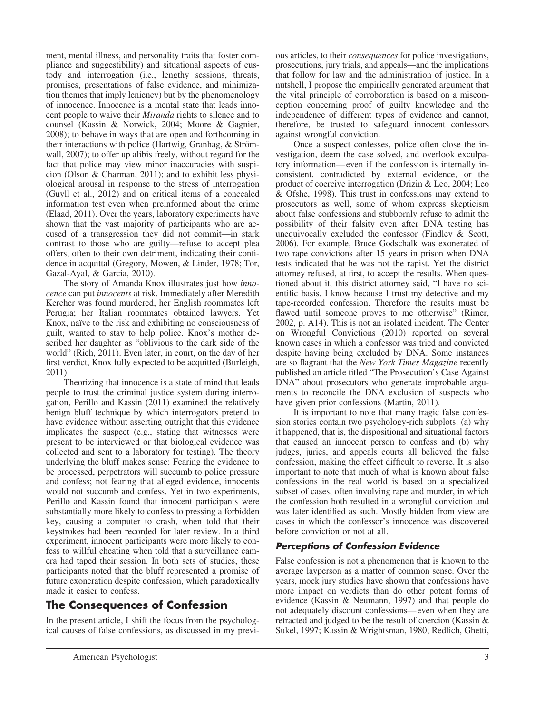ment, mental illness, and personality traits that foster compliance and suggestibility) and situational aspects of custody and interrogation (i.e., lengthy sessions, threats, promises, presentations of false evidence, and minimization themes that imply leniency) but by the phenomenology of innocence. Innocence is a mental state that leads innocent people to waive their *Miranda* rights to silence and to counsel (Kassin & Norwick, 2004; Moore & Gagnier, 2008); to behave in ways that are open and forthcoming in their interactions with police (Hartwig, Granhag, & Strömwall, 2007); to offer up alibis freely, without regard for the fact that police may view minor inaccuracies with suspicion (Olson & Charman, 2011); and to exhibit less physiological arousal in response to the stress of interrogation (Guyll et al., 2012) and on critical items of a concealed information test even when preinformed about the crime (Elaad, 2011). Over the years, laboratory experiments have shown that the vast majority of participants who are accused of a transgression they did not commit—in stark contrast to those who are guilty—refuse to accept plea offers, often to their own detriment, indicating their confidence in acquittal (Gregory, Mowen, & Linder, 1978; Tor, Gazal-Ayal, & Garcia, 2010).

The story of Amanda Knox illustrates just how *innocence* can put *innocents* at risk. Immediately after Meredith Kercher was found murdered, her English roommates left Perugia; her Italian roommates obtained lawyers. Yet Knox, naïve to the risk and exhibiting no consciousness of guilt, wanted to stay to help police. Knox's mother described her daughter as "oblivious to the dark side of the world" (Rich, 2011). Even later, in court, on the day of her first verdict, Knox fully expected to be acquitted (Burleigh, 2011).

Theorizing that innocence is a state of mind that leads people to trust the criminal justice system during interrogation, Perillo and Kassin (2011) examined the relatively benign bluff technique by which interrogators pretend to have evidence without asserting outright that this evidence implicates the suspect (e.g., stating that witnesses were present to be interviewed or that biological evidence was collected and sent to a laboratory for testing). The theory underlying the bluff makes sense: Fearing the evidence to be processed, perpetrators will succumb to police pressure and confess; not fearing that alleged evidence, innocents would not succumb and confess. Yet in two experiments, Perillo and Kassin found that innocent participants were substantially more likely to confess to pressing a forbidden key, causing a computer to crash, when told that their keystrokes had been recorded for later review. In a third experiment, innocent participants were more likely to confess to willful cheating when told that a surveillance camera had taped their session. In both sets of studies, these participants noted that the bluff represented a promise of future exoneration despite confession, which paradoxically made it easier to confess.

### **The Consequences of Confession**

In the present article, I shift the focus from the psychological causes of false confessions, as discussed in my previous articles, to their *consequences* for police investigations, prosecutions, jury trials, and appeals—and the implications that follow for law and the administration of justice. In a nutshell, I propose the empirically generated argument that the vital principle of corroboration is based on a misconception concerning proof of guilty knowledge and the independence of different types of evidence and cannot, therefore, be trusted to safeguard innocent confessors against wrongful conviction.

Once a suspect confesses, police often close the investigation, deem the case solved, and overlook exculpatory information—even if the confession is internally inconsistent, contradicted by external evidence, or the product of coercive interrogation (Drizin & Leo, 2004; Leo & Ofshe, 1998). This trust in confessions may extend to prosecutors as well, some of whom express skepticism about false confessions and stubbornly refuse to admit the possibility of their falsity even after DNA testing has unequivocally excluded the confessor (Findley & Scott, 2006). For example, Bruce Godschalk was exonerated of two rape convictions after 15 years in prison when DNA tests indicated that he was not the rapist. Yet the district attorney refused, at first, to accept the results. When questioned about it, this district attorney said, "I have no scientific basis. I know because I trust my detective and my tape-recorded confession. Therefore the results must be flawed until someone proves to me otherwise" (Rimer, 2002, p. A14). This is not an isolated incident. The Center on Wrongful Convictions (2010) reported on several known cases in which a confessor was tried and convicted despite having being excluded by DNA. Some instances are so flagrant that the *New York Times Magazine* recently published an article titled "The Prosecution's Case Against DNA" about prosecutors who generate improbable arguments to reconcile the DNA exclusion of suspects who have given prior confessions (Martin, 2011).

It is important to note that many tragic false confession stories contain two psychology-rich subplots: (a) why it happened, that is, the dispositional and situational factors that caused an innocent person to confess and (b) why judges, juries, and appeals courts all believed the false confession, making the effect difficult to reverse. It is also important to note that much of what is known about false confessions in the real world is based on a specialized subset of cases, often involving rape and murder, in which the confession both resulted in a wrongful conviction and was later identified as such. Mostly hidden from view are cases in which the confessor's innocence was discovered before conviction or not at all.

#### *Perceptions of Confession Evidence*

False confession is not a phenomenon that is known to the average layperson as a matter of common sense. Over the years, mock jury studies have shown that confessions have more impact on verdicts than do other potent forms of evidence (Kassin & Neumann, 1997) and that people do not adequately discount confessions—even when they are retracted and judged to be the result of coercion (Kassin & Sukel, 1997; Kassin & Wrightsman, 1980; Redlich, Ghetti,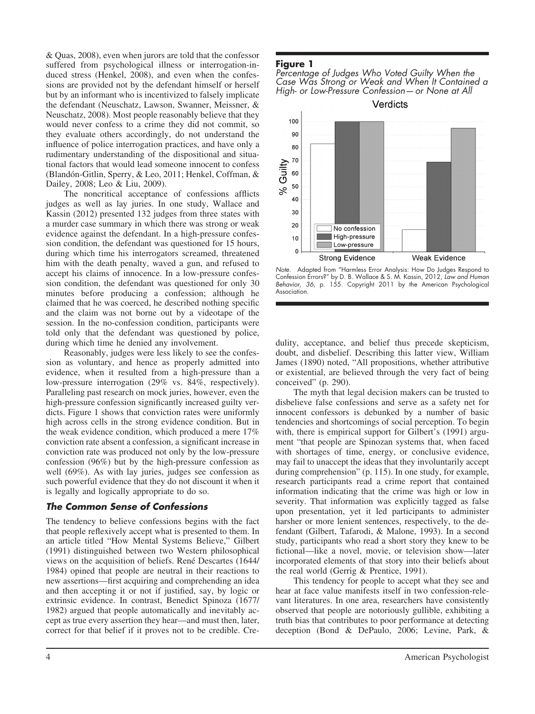& Quas, 2008), even when jurors are told that the confessor suffered from psychological illness or interrogation-induced stress (Henkel, 2008), and even when the confessions are provided not by the defendant himself or herself but by an informant who is incentivized to falsely implicate the defendant (Neuschatz, Lawson, Swanner, Meissner, & Neuschatz, 2008). Most people reasonably believe that they would never confess to a crime they did not commit, so they evaluate others accordingly, do not understand the influence of police interrogation practices, and have only a rudimentary understanding of the dispositional and situational factors that would lead someone innocent to confess (Blandón-Gitlin, Sperry, & Leo, 2011; Henkel, Coffman, & Dailey, 2008; Leo & Liu, 2009).

The noncritical acceptance of confessions afflicts judges as well as lay juries. In one study, Wallace and Kassin (2012) presented 132 judges from three states with a murder case summary in which there was strong or weak evidence against the defendant. In a high-pressure confession condition, the defendant was questioned for 15 hours, during which time his interrogators screamed, threatened him with the death penalty, waved a gun, and refused to accept his claims of innocence. In a low-pressure confession condition, the defendant was questioned for only 30 minutes before producing a confession; although he claimed that he was coerced, he described nothing specific and the claim was not borne out by a videotape of the session. In the no-confession condition, participants were told only that the defendant was questioned by police, during which time he denied any involvement.

Reasonably, judges were less likely to see the confession as voluntary, and hence as properly admitted into evidence, when it resulted from a high-pressure than a low-pressure interrogation (29% vs. 84%, respectively). Paralleling past research on mock juries, however, even the high-pressure confession significantly increased guilty verdicts. Figure 1 shows that conviction rates were uniformly high across cells in the strong evidence condition. But in the weak evidence condition, which produced a mere 17% conviction rate absent a confession, a significant increase in conviction rate was produced not only by the low-pressure confession (96%) but by the high-pressure confession as well (69%). As with lay juries, judges see confession as such powerful evidence that they do not discount it when it is legally and logically appropriate to do so.

#### *The Common Sense of Confessions*

The tendency to believe confessions begins with the fact that people reflexively accept what is presented to them. In an article titled "How Mental Systems Believe," Gilbert (1991) distinguished between two Western philosophical views on the acquisition of beliefs. René Descartes (1644/ 1984) opined that people are neutral in their reactions to new assertions—first acquiring and comprehending an idea and then accepting it or not if justified, say, by logic or extrinsic evidence. In contrast, Benedict Spinoza (1677/ 1982) argued that people automatically and inevitably accept as true every assertion they hear—and must then, later, correct for that belief if it proves not to be credible. Cre-

#### **Figure 1**

*Percentage of Judges Who Voted Guilty When the Case Was Strong or Weak and When It Contained a High- or Low-Pressure Confession— or None at All*



#### *Note.* Adapted from "Harmless Error Analysis: How Do Judges Respond to Confession Errors?" by D. B. Wallace & S. M. Kassin, 2012, *Law and Human Behavior, 36,* p. 155. Copyright 2011 by the American Psychological Association.

dulity, acceptance, and belief thus precede skepticism, doubt, and disbelief. Describing this latter view, William James (1890) noted, "All propositions, whether attributive or existential, are believed through the very fact of being conceived" (p. 290).

The myth that legal decision makers can be trusted to disbelieve false confessions and serve as a safety net for innocent confessors is debunked by a number of basic tendencies and shortcomings of social perception. To begin with, there is empirical support for Gilbert's (1991) argument "that people are Spinozan systems that, when faced with shortages of time, energy, or conclusive evidence, may fail to unaccept the ideas that they involuntarily accept during comprehension" (p. 115). In one study, for example, research participants read a crime report that contained information indicating that the crime was high or low in severity. That information was explicitly tagged as false upon presentation, yet it led participants to administer harsher or more lenient sentences, respectively, to the defendant (Gilbert, Tafarodi, & Malone, 1993). In a second study, participants who read a short story they knew to be fictional—like a novel, movie, or television show—later incorporated elements of that story into their beliefs about the real world (Gerrig & Prentice, 1991).

This tendency for people to accept what they see and hear at face value manifests itself in two confession-relevant literatures. In one area, researchers have consistently observed that people are notoriously gullible, exhibiting a truth bias that contributes to poor performance at detecting deception (Bond & DePaulo, 2006; Levine, Park, &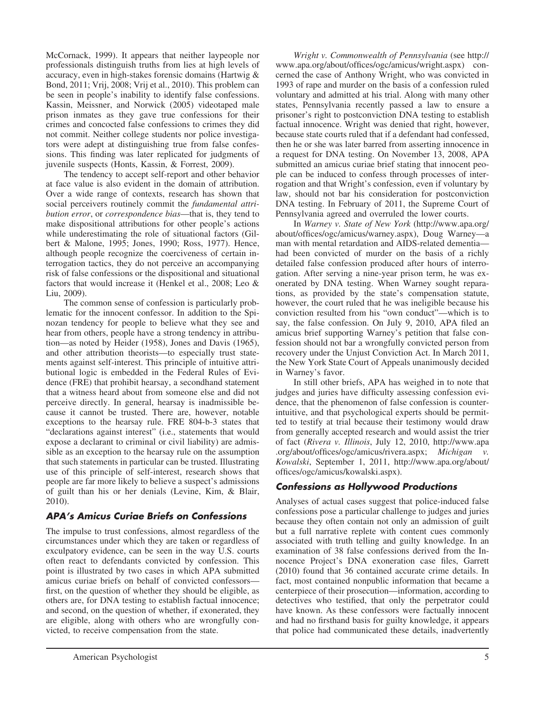McCornack, 1999). It appears that neither laypeople nor professionals distinguish truths from lies at high levels of accuracy, even in high-stakes forensic domains (Hartwig & Bond, 2011; Vrij, 2008; Vrij et al., 2010). This problem can be seen in people's inability to identify false confessions. Kassin, Meissner, and Norwick (2005) videotaped male prison inmates as they gave true confessions for their crimes and concocted false confessions to crimes they did not commit. Neither college students nor police investigators were adept at distinguishing true from false confessions. This finding was later replicated for judgments of juvenile suspects (Honts, Kassin, & Forrest, 2009).

The tendency to accept self-report and other behavior at face value is also evident in the domain of attribution. Over a wide range of contexts, research has shown that social perceivers routinely commit the *fundamental attribution error*, or *correspondence bias*—that is, they tend to make dispositional attributions for other people's actions while underestimating the role of situational factors (Gilbert & Malone, 1995; Jones, 1990; Ross, 1977). Hence, although people recognize the coerciveness of certain interrogation tactics, they do not perceive an accompanying risk of false confessions or the dispositional and situational factors that would increase it (Henkel et al., 2008; Leo & Liu, 2009).

The common sense of confession is particularly problematic for the innocent confessor. In addition to the Spinozan tendency for people to believe what they see and hear from others, people have a strong tendency in attribution—as noted by Heider (1958), Jones and Davis (1965), and other attribution theorists—to especially trust statements against self-interest. This principle of intuitive attributional logic is embedded in the Federal Rules of Evidence (FRE) that prohibit hearsay, a secondhand statement that a witness heard about from someone else and did not perceive directly. In general, hearsay is inadmissible because it cannot be trusted. There are, however, notable exceptions to the hearsay rule. FRE 804-b-3 states that "declarations against interest" (i.e., statements that would expose a declarant to criminal or civil liability) are admissible as an exception to the hearsay rule on the assumption that such statements in particular can be trusted. Illustrating use of this principle of self-interest, research shows that people are far more likely to believe a suspect's admissions of guilt than his or her denials (Levine, Kim, & Blair, 2010).

#### *APA's Amicus Curiae Briefs on Confessions*

The impulse to trust confessions, almost regardless of the circumstances under which they are taken or regardless of exculpatory evidence, can be seen in the way U.S. courts often react to defendants convicted by confession. This point is illustrated by two cases in which APA submitted amicus curiae briefs on behalf of convicted confessors first, on the question of whether they should be eligible, as others are, for DNA testing to establish factual innocence; and second, on the question of whether, if exonerated, they are eligible, along with others who are wrongfully convicted, to receive compensation from the state.

*Wright v. Commonwealth of Pennsylvania* (see http:// www.apa.org/about/offices/ogc/amicus/wright.aspx) concerned the case of Anthony Wright, who was convicted in 1993 of rape and murder on the basis of a confession ruled voluntary and admitted at his trial. Along with many other states, Pennsylvania recently passed a law to ensure a prisoner's right to postconviction DNA testing to establish factual innocence. Wright was denied that right, however, because state courts ruled that if a defendant had confessed, then he or she was later barred from asserting innocence in a request for DNA testing. On November 13, 2008, APA submitted an amicus curiae brief stating that innocent people can be induced to confess through processes of interrogation and that Wright's confession, even if voluntary by law, should not bar his consideration for postconviction DNA testing. In February of 2011, the Supreme Court of Pennsylvania agreed and overruled the lower courts.

In *Warney v. State of New York* (http://www.apa.org/ about/offices/ogc/amicus/warney.aspx), Doug Warney—a man with mental retardation and AIDS-related dementia had been convicted of murder on the basis of a richly detailed false confession produced after hours of interrogation. After serving a nine-year prison term, he was exonerated by DNA testing. When Warney sought reparations, as provided by the state's compensation statute, however, the court ruled that he was ineligible because his conviction resulted from his "own conduct"—which is to say, the false confession. On July 9, 2010, APA filed an amicus brief supporting Warney's petition that false confession should not bar a wrongfully convicted person from recovery under the Unjust Conviction Act. In March 2011, the New York State Court of Appeals unanimously decided in Warney's favor.

In still other briefs, APA has weighed in to note that judges and juries have difficulty assessing confession evidence, that the phenomenon of false confession is counterintuitive, and that psychological experts should be permitted to testify at trial because their testimony would draw from generally accepted research and would assist the trier of fact (*Rivera v. Illinois*, July 12, 2010, http://www.apa .org/about/offices/ogc/amicus/rivera.aspx; *Michigan v. Kowalski*, September 1, 2011, http://www.apa.org/about/ offices/ogc/amicus/kowalski.aspx).

#### *Confessions as Hollywood Productions*

Analyses of actual cases suggest that police-induced false confessions pose a particular challenge to judges and juries because they often contain not only an admission of guilt but a full narrative replete with content cues commonly associated with truth telling and guilty knowledge. In an examination of 38 false confessions derived from the Innocence Project's DNA exoneration case files, Garrett (2010) found that 36 contained accurate crime details. In fact, most contained nonpublic information that became a centerpiece of their prosecution—information, according to detectives who testified, that only the perpetrator could have known. As these confessors were factually innocent and had no firsthand basis for guilty knowledge, it appears that police had communicated these details, inadvertently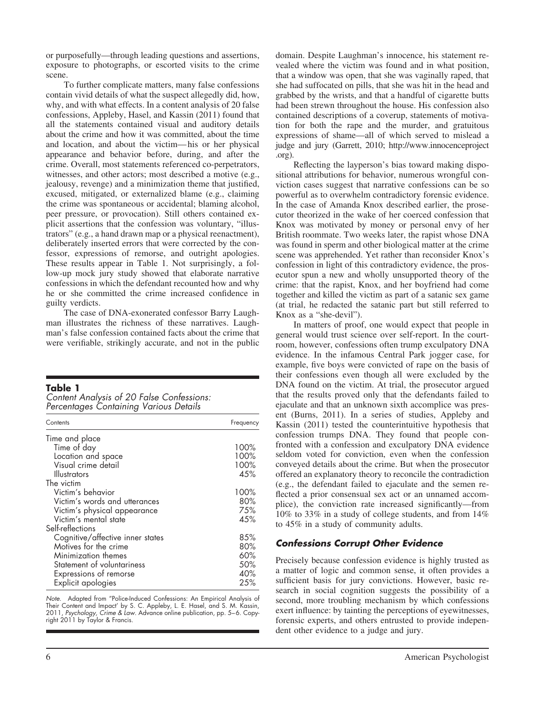or purposefully—through leading questions and assertions, exposure to photographs, or escorted visits to the crime scene.

To further complicate matters, many false confessions contain vivid details of what the suspect allegedly did, how, why, and with what effects. In a content analysis of 20 false confessions, Appleby, Hasel, and Kassin (2011) found that all the statements contained visual and auditory details about the crime and how it was committed, about the time and location, and about the victim—his or her physical appearance and behavior before, during, and after the crime. Overall, most statements referenced co-perpetrators, witnesses, and other actors; most described a motive (e.g., jealousy, revenge) and a minimization theme that justified, excused, mitigated, or externalized blame (e.g., claiming the crime was spontaneous or accidental; blaming alcohol, peer pressure, or provocation). Still others contained explicit assertions that the confession was voluntary, "illustrators" (e.g., a hand drawn map or a physical reenactment), deliberately inserted errors that were corrected by the confessor, expressions of remorse, and outright apologies. These results appear in Table 1. Not surprisingly, a follow-up mock jury study showed that elaborate narrative confessions in which the defendant recounted how and why he or she committed the crime increased confidence in guilty verdicts.

The case of DNA-exonerated confessor Barry Laughman illustrates the richness of these narratives. Laughman's false confession contained facts about the crime that were verifiable, strikingly accurate, and not in the public

#### **Table 1**

*Content Analysis of 20 False Confessions: Percentages Containing Various Details*

| Contents                         | Frequency |  |
|----------------------------------|-----------|--|
| Time and place                   |           |  |
| Time of day                      | 100%      |  |
| Location and space               | 100%      |  |
| Visual crime detail              | 100%      |  |
| <b>Illustrators</b>              | 45%       |  |
| The victim                       |           |  |
| Victim's behavior                | 100%      |  |
| Victim's words and utterances    | 80%       |  |
| Victim's physical appearance     | 75%       |  |
| Victim's mental state            | 45%       |  |
| Self-reflections                 |           |  |
| Cognitive/affective inner states | 85%       |  |
| Motives for the crime            | 80%       |  |
| Minimization themes              | 60%       |  |
| Statement of voluntariness       | 50%       |  |
| Expressions of remorse           | 40%       |  |
| Explicit apologies               | 25%       |  |

*Note.* Adapted from "Police-Induced Confessions: An Empirical Analysis of Their Content and Impact' by S. C. Appleby, L. E. Hasel, and S. M. Kassin, 2011, *Psychology, Crime & Law.* Advance online publication, pp. 5–6. Copyright 2011 by Taylor & Francis.

domain. Despite Laughman's innocence, his statement revealed where the victim was found and in what position, that a window was open, that she was vaginally raped, that she had suffocated on pills, that she was hit in the head and grabbed by the wrists, and that a handful of cigarette butts had been strewn throughout the house. His confession also contained descriptions of a coverup, statements of motivation for both the rape and the murder, and gratuitous expressions of shame—all of which served to mislead a judge and jury (Garrett, 2010; http://www.innocenceproject .org).

Reflecting the layperson's bias toward making dispositional attributions for behavior, numerous wrongful conviction cases suggest that narrative confessions can be so powerful as to overwhelm contradictory forensic evidence. In the case of Amanda Knox described earlier, the prosecutor theorized in the wake of her coerced confession that Knox was motivated by money or personal envy of her British roommate. Two weeks later, the rapist whose DNA was found in sperm and other biological matter at the crime scene was apprehended. Yet rather than reconsider Knox's confession in light of this contradictory evidence, the prosecutor spun a new and wholly unsupported theory of the crime: that the rapist, Knox, and her boyfriend had come together and killed the victim as part of a satanic sex game (at trial, he redacted the satanic part but still referred to Knox as a "she-devil").

In matters of proof, one would expect that people in general would trust science over self-report. In the courtroom, however, confessions often trump exculpatory DNA evidence. In the infamous Central Park jogger case, for example, five boys were convicted of rape on the basis of their confessions even though all were excluded by the DNA found on the victim. At trial, the prosecutor argued that the results proved only that the defendants failed to ejaculate and that an unknown sixth accomplice was present (Burns, 2011). In a series of studies, Appleby and Kassin (2011) tested the counterintuitive hypothesis that confession trumps DNA. They found that people confronted with a confession and exculpatory DNA evidence seldom voted for conviction, even when the confession conveyed details about the crime. But when the prosecutor offered an explanatory theory to reconcile the contradiction (e.g., the defendant failed to ejaculate and the semen reflected a prior consensual sex act or an unnamed accomplice), the conviction rate increased significantly—from 10% to 33% in a study of college students, and from 14% to 45% in a study of community adults.

#### *Confessions Corrupt Other Evidence*

Precisely because confession evidence is highly trusted as a matter of logic and common sense, it often provides a sufficient basis for jury convictions. However, basic research in social cognition suggests the possibility of a second, more troubling mechanism by which confessions exert influence: by tainting the perceptions of eyewitnesses, forensic experts, and others entrusted to provide independent other evidence to a judge and jury.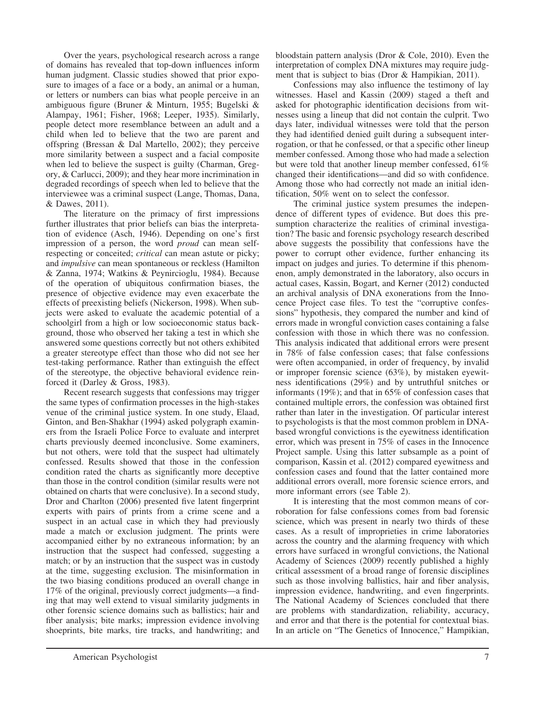Over the years, psychological research across a range of domains has revealed that top-down influences inform human judgment. Classic studies showed that prior exposure to images of a face or a body, an animal or a human, or letters or numbers can bias what people perceive in an ambiguous figure (Bruner & Minturn, 1955; Bugelski & Alampay, 1961; Fisher, 1968; Leeper, 1935). Similarly, people detect more resemblance between an adult and a child when led to believe that the two are parent and offspring (Bressan & Dal Martello, 2002); they perceive more similarity between a suspect and a facial composite when led to believe the suspect is guilty (Charman, Gregory, & Carlucci, 2009); and they hear more incrimination in degraded recordings of speech when led to believe that the interviewee was a criminal suspect (Lange, Thomas, Dana, & Dawes, 2011).

The literature on the primacy of first impressions further illustrates that prior beliefs can bias the interpretation of evidence (Asch, 1946). Depending on one's first impression of a person, the word *proud* can mean selfrespecting or conceited; *critical* can mean astute or picky; and *impulsive* can mean spontaneous or reckless (Hamilton & Zanna, 1974; Watkins & Peynircioglu, 1984). Because of the operation of ubiquitous confirmation biases, the presence of objective evidence may even exacerbate the effects of preexisting beliefs (Nickerson, 1998). When subjects were asked to evaluate the academic potential of a schoolgirl from a high or low socioeconomic status background, those who observed her taking a test in which she answered some questions correctly but not others exhibited a greater stereotype effect than those who did not see her test-taking performance. Rather than extinguish the effect of the stereotype, the objective behavioral evidence reinforced it (Darley & Gross, 1983).

Recent research suggests that confessions may trigger the same types of confirmation processes in the high-stakes venue of the criminal justice system. In one study, Elaad, Ginton, and Ben-Shakhar (1994) asked polygraph examiners from the Israeli Police Force to evaluate and interpret charts previously deemed inconclusive. Some examiners, but not others, were told that the suspect had ultimately confessed. Results showed that those in the confession condition rated the charts as significantly more deceptive than those in the control condition (similar results were not obtained on charts that were conclusive). In a second study, Dror and Charlton (2006) presented five latent fingerprint experts with pairs of prints from a crime scene and a suspect in an actual case in which they had previously made a match or exclusion judgment. The prints were accompanied either by no extraneous information; by an instruction that the suspect had confessed, suggesting a match; or by an instruction that the suspect was in custody at the time, suggesting exclusion. The misinformation in the two biasing conditions produced an overall change in 17% of the original, previously correct judgments—a finding that may well extend to visual similarity judgments in other forensic science domains such as ballistics; hair and fiber analysis; bite marks; impression evidence involving shoeprints, bite marks, tire tracks, and handwriting; and

bloodstain pattern analysis (Dror & Cole, 2010). Even the interpretation of complex DNA mixtures may require judgment that is subject to bias (Dror & Hampikian, 2011).

Confessions may also influence the testimony of lay witnesses. Hasel and Kassin (2009) staged a theft and asked for photographic identification decisions from witnesses using a lineup that did not contain the culprit. Two days later, individual witnesses were told that the person they had identified denied guilt during a subsequent interrogation, or that he confessed, or that a specific other lineup member confessed. Among those who had made a selection but were told that another lineup member confessed, 61% changed their identifications—and did so with confidence. Among those who had correctly not made an initial identification, 50% went on to select the confessor.

The criminal justice system presumes the independence of different types of evidence. But does this presumption characterize the realities of criminal investigation? The basic and forensic psychology research described above suggests the possibility that confessions have the power to corrupt other evidence, further enhancing its impact on judges and juries. To determine if this phenomenon, amply demonstrated in the laboratory, also occurs in actual cases, Kassin, Bogart, and Kerner (2012) conducted an archival analysis of DNA exonerations from the Innocence Project case files. To test the "corruptive confessions" hypothesis, they compared the number and kind of errors made in wrongful conviction cases containing a false confession with those in which there was no confession. This analysis indicated that additional errors were present in 78% of false confession cases; that false confessions were often accompanied, in order of frequency, by invalid or improper forensic science (63%), by mistaken eyewitness identifications (29%) and by untruthful snitches or informants (19%); and that in 65% of confession cases that contained multiple errors, the confession was obtained first rather than later in the investigation. Of particular interest to psychologists is that the most common problem in DNAbased wrongful convictions is the eyewitness identification error, which was present in 75% of cases in the Innocence Project sample. Using this latter subsample as a point of comparison, Kassin et al. (2012) compared eyewitness and confession cases and found that the latter contained more additional errors overall, more forensic science errors, and more informant errors (see Table 2).

It is interesting that the most common means of corroboration for false confessions comes from bad forensic science, which was present in nearly two thirds of these cases. As a result of improprieties in crime laboratories across the country and the alarming frequency with which errors have surfaced in wrongful convictions, the National Academy of Sciences (2009) recently published a highly critical assessment of a broad range of forensic disciplines such as those involving ballistics, hair and fiber analysis, impression evidence, handwriting, and even fingerprints. The National Academy of Sciences concluded that there are problems with standardization, reliability, accuracy, and error and that there is the potential for contextual bias. In an article on "The Genetics of Innocence," Hampikian,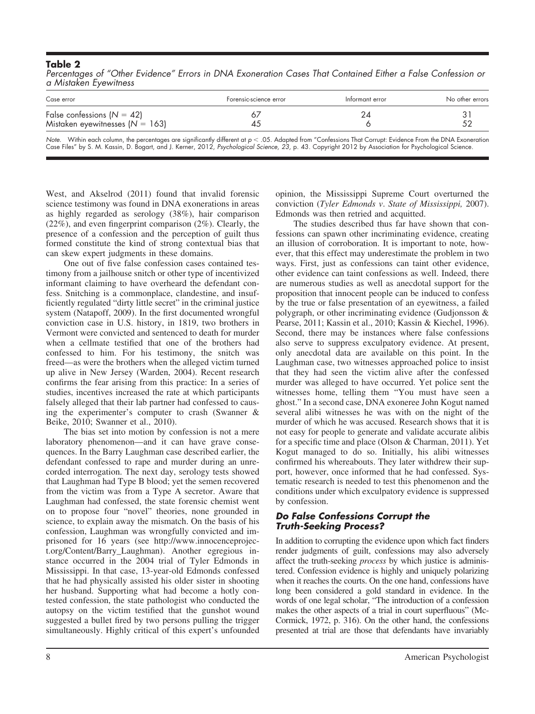#### **Table 2**

*Percentages of "Other Evidence" Errors in DNA Exoneration Cases That Contained Either a False Confession or a Mistaken Eyewitness*

| Case error                        | Forensic-science error | Informant error | No other errors |
|-----------------------------------|------------------------|-----------------|-----------------|
| False confessions $(N = 42)$      |                        |                 |                 |
| Mistaken eyewitnesses $(N = 163)$ |                        |                 |                 |

Note. Within each column, the percentages are significantly different at *p* < .05. Adapted from "Confessions That Corrupt: Evidence From the DNA Exoneration Case Files" by S. M. Kassin, D. Bogart, and J. Kerner, 2012, *Psychological Science, 23,* p. 43. Copyright 2012 by Association for Psychological Science.

West, and Akselrod (2011) found that invalid forensic science testimony was found in DNA exonerations in areas as highly regarded as serology (38%), hair comparison (22%), and even fingerprint comparison (2%). Clearly, the presence of a confession and the perception of guilt thus formed constitute the kind of strong contextual bias that can skew expert judgments in these domains.

One out of five false confession cases contained testimony from a jailhouse snitch or other type of incentivized informant claiming to have overheard the defendant confess. Snitching is a commonplace, clandestine, and insufficiently regulated "dirty little secret" in the criminal justice system (Natapoff, 2009). In the first documented wrongful conviction case in U.S. history, in 1819, two brothers in Vermont were convicted and sentenced to death for murder when a cellmate testified that one of the brothers had confessed to him. For his testimony, the snitch was freed—as were the brothers when the alleged victim turned up alive in New Jersey (Warden, 2004). Recent research confirms the fear arising from this practice: In a series of studies, incentives increased the rate at which participants falsely alleged that their lab partner had confessed to causing the experimenter's computer to crash (Swanner & Beike, 2010; Swanner et al., 2010).

The bias set into motion by confession is not a mere laboratory phenomenon—and it can have grave consequences. In the Barry Laughman case described earlier, the defendant confessed to rape and murder during an unrecorded interrogation. The next day, serology tests showed that Laughman had Type B blood; yet the semen recovered from the victim was from a Type A secretor. Aware that Laughman had confessed, the state forensic chemist went on to propose four "novel" theories, none grounded in science, to explain away the mismatch. On the basis of his confession, Laughman was wrongfully convicted and imprisoned for 16 years (see http://www.innocenceproject.org/Content/Barry\_Laughman). Another egregious instance occurred in the 2004 trial of Tyler Edmonds in Mississippi. In that case, 13-year-old Edmonds confessed that he had physically assisted his older sister in shooting her husband. Supporting what had become a hotly contested confession, the state pathologist who conducted the autopsy on the victim testified that the gunshot wound suggested a bullet fired by two persons pulling the trigger simultaneously. Highly critical of this expert's unfounded

opinion, the Mississippi Supreme Court overturned the conviction (*Tyler Edmonds v*. *State of Mississippi,* 2007). Edmonds was then retried and acquitted.

The studies described thus far have shown that confessions can spawn other incriminating evidence, creating an illusion of corroboration. It is important to note, however, that this effect may underestimate the problem in two ways. First, just as confessions can taint other evidence, other evidence can taint confessions as well. Indeed, there are numerous studies as well as anecdotal support for the proposition that innocent people can be induced to confess by the true or false presentation of an eyewitness, a failed polygraph, or other incriminating evidence (Gudjonsson & Pearse, 2011; Kassin et al., 2010; Kassin & Kiechel, 1996). Second, there may be instances where false confessions also serve to suppress exculpatory evidence. At present, only anecdotal data are available on this point. In the Laughman case, two witnesses approached police to insist that they had seen the victim alive after the confessed murder was alleged to have occurred. Yet police sent the witnesses home, telling them "You must have seen a ghost." In a second case, DNA exoneree John Kogut named several alibi witnesses he was with on the night of the murder of which he was accused. Research shows that it is not easy for people to generate and validate accurate alibis for a specific time and place (Olson & Charman, 2011). Yet Kogut managed to do so. Initially, his alibi witnesses confirmed his whereabouts. They later withdrew their support, however, once informed that he had confessed. Systematic research is needed to test this phenomenon and the conditions under which exculpatory evidence is suppressed by confession.

#### *Do False Confessions Corrupt the Truth-Seeking Process?*

In addition to corrupting the evidence upon which fact finders render judgments of guilt, confessions may also adversely affect the truth-seeking *process* by which justice is administered. Confession evidence is highly and uniquely polarizing when it reaches the courts. On the one hand, confessions have long been considered a gold standard in evidence. In the words of one legal scholar, "The introduction of a confession makes the other aspects of a trial in court superfluous" (Mc-Cormick, 1972, p. 316). On the other hand, the confessions presented at trial are those that defendants have invariably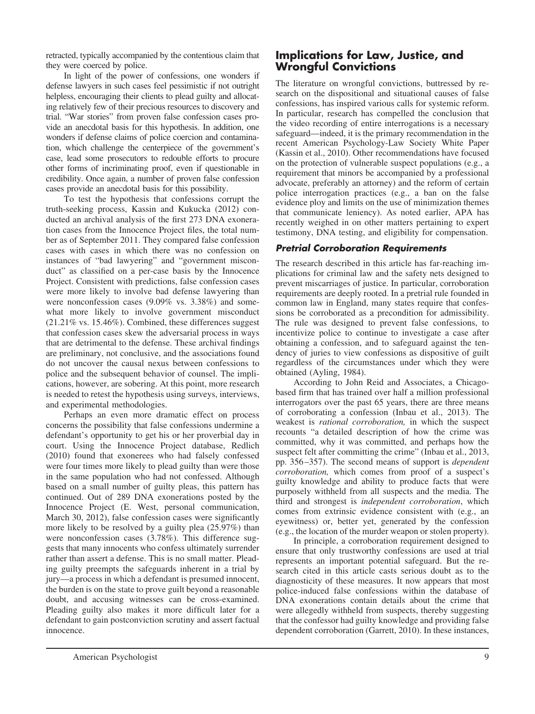retracted, typically accompanied by the contentious claim that they were coerced by police.

In light of the power of confessions, one wonders if defense lawyers in such cases feel pessimistic if not outright helpless, encouraging their clients to plead guilty and allocating relatively few of their precious resources to discovery and trial. "War stories" from proven false confession cases provide an anecdotal basis for this hypothesis. In addition, one wonders if defense claims of police coercion and contamination, which challenge the centerpiece of the government's case, lead some prosecutors to redouble efforts to procure other forms of incriminating proof, even if questionable in credibility. Once again, a number of proven false confession cases provide an anecdotal basis for this possibility.

To test the hypothesis that confessions corrupt the truth-seeking process, Kassin and Kukucka (2012) conducted an archival analysis of the first 273 DNA exoneration cases from the Innocence Project files, the total number as of September 2011. They compared false confession cases with cases in which there was no confession on instances of "bad lawyering" and "government misconduct" as classified on a per-case basis by the Innocence Project. Consistent with predictions, false confession cases were more likely to involve bad defense lawyering than were nonconfession cases (9.09% vs. 3.38%) and somewhat more likely to involve government misconduct (21.21% vs. 15.46%). Combined, these differences suggest that confession cases skew the adversarial process in ways that are detrimental to the defense. These archival findings are preliminary, not conclusive, and the associations found do not uncover the causal nexus between confessions to police and the subsequent behavior of counsel. The implications, however, are sobering. At this point, more research is needed to retest the hypothesis using surveys, interviews, and experimental methodologies.

Perhaps an even more dramatic effect on process concerns the possibility that false confessions undermine a defendant's opportunity to get his or her proverbial day in court. Using the Innocence Project database, Redlich (2010) found that exonerees who had falsely confessed were four times more likely to plead guilty than were those in the same population who had not confessed. Although based on a small number of guilty pleas, this pattern has continued. Out of 289 DNA exonerations posted by the Innocence Project (E. West, personal communication, March 30, 2012), false confession cases were significantly more likely to be resolved by a guilty plea (25.97%) than were nonconfession cases (3.78%). This difference suggests that many innocents who confess ultimately surrender rather than assert a defense. This is no small matter. Pleading guilty preempts the safeguards inherent in a trial by jury—a process in which a defendant is presumed innocent, the burden is on the state to prove guilt beyond a reasonable doubt, and accusing witnesses can be cross-examined. Pleading guilty also makes it more difficult later for a defendant to gain postconviction scrutiny and assert factual innocence.

The literature on wrongful convictions, buttressed by research on the dispositional and situational causes of false confessions, has inspired various calls for systemic reform. In particular, research has compelled the conclusion that the video recording of entire interrogations is a necessary safeguard—indeed, it is the primary recommendation in the recent American Psychology-Law Society White Paper (Kassin et al., 2010). Other recommendations have focused on the protection of vulnerable suspect populations (e.g., a requirement that minors be accompanied by a professional advocate, preferably an attorney) and the reform of certain police interrogation practices (e.g., a ban on the false evidence ploy and limits on the use of minimization themes that communicate leniency). As noted earlier, APA has recently weighed in on other matters pertaining to expert testimony, DNA testing, and eligibility for compensation.

#### *Pretrial Corroboration Requirements*

The research described in this article has far-reaching implications for criminal law and the safety nets designed to prevent miscarriages of justice. In particular, corroboration requirements are deeply rooted. In a pretrial rule founded in common law in England, many states require that confessions be corroborated as a precondition for admissibility. The rule was designed to prevent false confessions, to incentivize police to continue to investigate a case after obtaining a confession, and to safeguard against the tendency of juries to view confessions as dispositive of guilt regardless of the circumstances under which they were obtained (Ayling, 1984).

According to John Reid and Associates, a Chicagobased firm that has trained over half a million professional interrogators over the past 65 years, there are three means of corroborating a confession (Inbau et al., 2013). The weakest is *rational corroboration,* in which the suspect recounts "a detailed description of how the crime was committed, why it was committed, and perhaps how the suspect felt after committing the crime" (Inbau et al., 2013, pp. 356–357). The second means of support is *dependent corroboration,* which comes from proof of a suspect's guilty knowledge and ability to produce facts that were purposely withheld from all suspects and the media. The third and strongest is *independent corroboration*, which comes from extrinsic evidence consistent with (e.g., an eyewitness) or, better yet, generated by the confession (e.g., the location of the murder weapon or stolen property).

In principle, a corroboration requirement designed to ensure that only trustworthy confessions are used at trial represents an important potential safeguard. But the research cited in this article casts serious doubt as to the diagnosticity of these measures. It now appears that most police-induced false confessions within the database of DNA exonerations contain details about the crime that were allegedly withheld from suspects, thereby suggesting that the confessor had guilty knowledge and providing false dependent corroboration (Garrett, 2010). In these instances,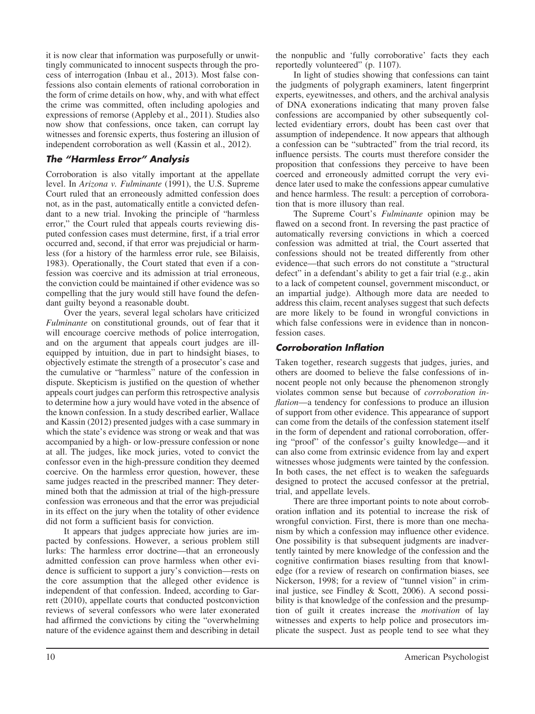it is now clear that information was purposefully or unwittingly communicated to innocent suspects through the process of interrogation (Inbau et al., 2013). Most false confessions also contain elements of rational corroboration in the form of crime details on how, why, and with what effect the crime was committed, often including apologies and expressions of remorse (Appleby et al., 2011). Studies also now show that confessions, once taken, can corrupt lay witnesses and forensic experts, thus fostering an illusion of independent corroboration as well (Kassin et al., 2012).

#### *The "Harmless Error" Analysis*

Corroboration is also vitally important at the appellate level. In *Arizona v. Fulminante* (1991), the U.S. Supreme Court ruled that an erroneously admitted confession does not, as in the past, automatically entitle a convicted defendant to a new trial. Invoking the principle of "harmless error," the Court ruled that appeals courts reviewing disputed confession cases must determine, first, if a trial error occurred and, second, if that error was prejudicial or harmless (for a history of the harmless error rule, see Bilaisis, 1983). Operationally, the Court stated that even if a confession was coercive and its admission at trial erroneous, the conviction could be maintained if other evidence was so compelling that the jury would still have found the defendant guilty beyond a reasonable doubt.

Over the years, several legal scholars have criticized *Fulminante* on constitutional grounds, out of fear that it will encourage coercive methods of police interrogation, and on the argument that appeals court judges are illequipped by intuition, due in part to hindsight biases, to objectively estimate the strength of a prosecutor's case and the cumulative or "harmless" nature of the confession in dispute. Skepticism is justified on the question of whether appeals court judges can perform this retrospective analysis to determine how a jury would have voted in the absence of the known confession. In a study described earlier, Wallace and Kassin (2012) presented judges with a case summary in which the state's evidence was strong or weak and that was accompanied by a high- or low-pressure confession or none at all. The judges, like mock juries, voted to convict the confessor even in the high-pressure condition they deemed coercive. On the harmless error question, however, these same judges reacted in the prescribed manner: They determined both that the admission at trial of the high-pressure confession was erroneous and that the error was prejudicial in its effect on the jury when the totality of other evidence did not form a sufficient basis for conviction.

It appears that judges appreciate how juries are impacted by confessions. However, a serious problem still lurks: The harmless error doctrine—that an erroneously admitted confession can prove harmless when other evidence is sufficient to support a jury's conviction—rests on the core assumption that the alleged other evidence is independent of that confession. Indeed, according to Garrett (2010), appellate courts that conducted postconviction reviews of several confessors who were later exonerated had affirmed the convictions by citing the "overwhelming nature of the evidence against them and describing in detail

the nonpublic and 'fully corroborative' facts they each reportedly volunteered" (p. 1107).

In light of studies showing that confessions can taint the judgments of polygraph examiners, latent fingerprint experts, eyewitnesses, and others, and the archival analysis of DNA exonerations indicating that many proven false confessions are accompanied by other subsequently collected evidentiary errors, doubt has been cast over that assumption of independence. It now appears that although a confession can be "subtracted" from the trial record, its influence persists. The courts must therefore consider the proposition that confessions they perceive to have been coerced and erroneously admitted corrupt the very evidence later used to make the confessions appear cumulative and hence harmless. The result: a perception of corroboration that is more illusory than real.

The Supreme Court's *Fulminante* opinion may be flawed on a second front. In reversing the past practice of automatically reversing convictions in which a coerced confession was admitted at trial, the Court asserted that confessions should not be treated differently from other evidence—that such errors do not constitute a "structural defect" in a defendant's ability to get a fair trial (e.g., akin to a lack of competent counsel, government misconduct, or an impartial judge). Although more data are needed to address this claim, recent analyses suggest that such defects are more likely to be found in wrongful convictions in which false confessions were in evidence than in nonconfession cases.

#### *Corroboration Inflation*

Taken together, research suggests that judges, juries, and others are doomed to believe the false confessions of innocent people not only because the phenomenon strongly violates common sense but because of *corroboration inflation*—a tendency for confessions to produce an illusion of support from other evidence. This appearance of support can come from the details of the confession statement itself in the form of dependent and rational corroboration, offering "proof" of the confessor's guilty knowledge—and it can also come from extrinsic evidence from lay and expert witnesses whose judgments were tainted by the confession. In both cases, the net effect is to weaken the safeguards designed to protect the accused confessor at the pretrial, trial, and appellate levels.

There are three important points to note about corroboration inflation and its potential to increase the risk of wrongful conviction. First, there is more than one mechanism by which a confession may influence other evidence. One possibility is that subsequent judgments are inadvertently tainted by mere knowledge of the confession and the cognitive confirmation biases resulting from that knowledge (for a review of research on confirmation biases, see Nickerson, 1998; for a review of "tunnel vision" in criminal justice, see Findley & Scott, 2006). A second possibility is that knowledge of the confession and the presumption of guilt it creates increase the *motivation* of lay witnesses and experts to help police and prosecutors implicate the suspect. Just as people tend to see what they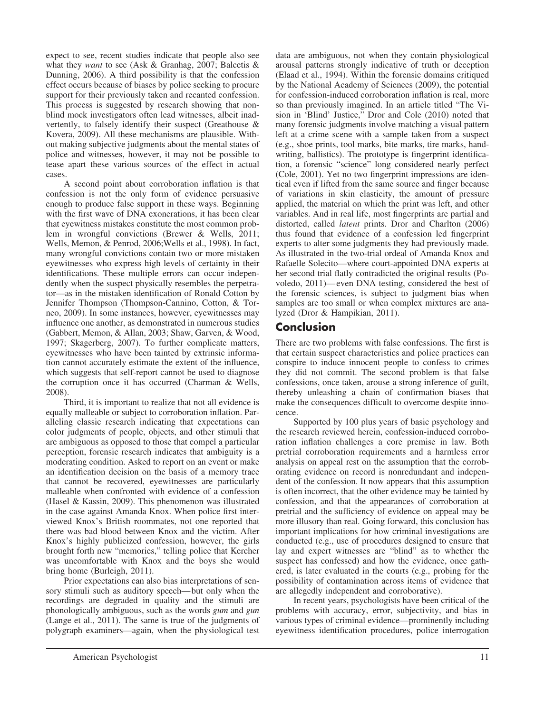expect to see, recent studies indicate that people also see what they *want* to see (Ask & Granhag, 2007; Balcetis & Dunning, 2006). A third possibility is that the confession effect occurs because of biases by police seeking to procure support for their previously taken and recanted confession. This process is suggested by research showing that nonblind mock investigators often lead witnesses, albeit inadvertently, to falsely identify their suspect (Greathouse & Kovera, 2009). All these mechanisms are plausible. Without making subjective judgments about the mental states of police and witnesses, however, it may not be possible to tease apart these various sources of the effect in actual cases.

A second point about corroboration inflation is that confession is not the only form of evidence persuasive enough to produce false support in these ways. Beginning with the first wave of DNA exonerations, it has been clear that eyewitness mistakes constitute the most common problem in wrongful convictions (Brewer & Wells, 2011; Wells, Memon, & Penrod, 2006;Wells et al., 1998). In fact, many wrongful convictions contain two or more mistaken eyewitnesses who express high levels of certainty in their identifications. These multiple errors can occur independently when the suspect physically resembles the perpetrator—as in the mistaken identification of Ronald Cotton by Jennifer Thompson (Thompson-Cannino, Cotton, & Torneo, 2009). In some instances, however, eyewitnesses may influence one another, as demonstrated in numerous studies (Gabbert, Memon, & Allan, 2003; Shaw, Garven, & Wood, 1997; Skagerberg, 2007). To further complicate matters, eyewitnesses who have been tainted by extrinsic information cannot accurately estimate the extent of the influence, which suggests that self-report cannot be used to diagnose the corruption once it has occurred (Charman & Wells, 2008).

Third, it is important to realize that not all evidence is equally malleable or subject to corroboration inflation. Paralleling classic research indicating that expectations can color judgments of people, objects, and other stimuli that are ambiguous as opposed to those that compel a particular perception, forensic research indicates that ambiguity is a moderating condition. Asked to report on an event or make an identification decision on the basis of a memory trace that cannot be recovered, eyewitnesses are particularly malleable when confronted with evidence of a confession (Hasel & Kassin, 2009). This phenomenon was illustrated in the case against Amanda Knox. When police first interviewed Knox's British roommates, not one reported that there was bad blood between Knox and the victim. After Knox's highly publicized confession, however, the girls brought forth new "memories," telling police that Kercher was uncomfortable with Knox and the boys she would bring home (Burleigh, 2011).

Prior expectations can also bias interpretations of sensory stimuli such as auditory speech—but only when the recordings are degraded in quality and the stimuli are phonologically ambiguous, such as the words *gum* and *gun* (Lange et al., 2011). The same is true of the judgments of polygraph examiners—again, when the physiological test data are ambiguous, not when they contain physiological arousal patterns strongly indicative of truth or deception (Elaad et al., 1994). Within the forensic domains critiqued by the National Academy of Sciences (2009), the potential for confession-induced corroboration inflation is real, more so than previously imagined. In an article titled "The Vision in 'Blind' Justice," Dror and Cole (2010) noted that many forensic judgments involve matching a visual pattern left at a crime scene with a sample taken from a suspect (e.g., shoe prints, tool marks, bite marks, tire marks, handwriting, ballistics). The prototype is fingerprint identification, a forensic "science" long considered nearly perfect (Cole, 2001). Yet no two fingerprint impressions are identical even if lifted from the same source and finger because of variations in skin elasticity, the amount of pressure applied, the material on which the print was left, and other variables. And in real life, most fingerprints are partial and distorted, called *latent* prints. Dror and Charlton (2006) thus found that evidence of a confession led fingerprint experts to alter some judgments they had previously made. As illustrated in the two-trial ordeal of Amanda Knox and Rafaelle Solecito—where court-appointed DNA experts at her second trial flatly contradicted the original results (Povoledo, 2011)—even DNA testing, considered the best of the forensic sciences, is subject to judgment bias when samples are too small or when complex mixtures are analyzed (Dror & Hampikian, 2011).

### **Conclusion**

There are two problems with false confessions. The first is that certain suspect characteristics and police practices can conspire to induce innocent people to confess to crimes they did not commit. The second problem is that false confessions, once taken, arouse a strong inference of guilt, thereby unleashing a chain of confirmation biases that make the consequences difficult to overcome despite innocence.

Supported by 100 plus years of basic psychology and the research reviewed herein, confession-induced corroboration inflation challenges a core premise in law. Both pretrial corroboration requirements and a harmless error analysis on appeal rest on the assumption that the corroborating evidence on record is nonredundant and independent of the confession. It now appears that this assumption is often incorrect, that the other evidence may be tainted by confession, and that the appearances of corroboration at pretrial and the sufficiency of evidence on appeal may be more illusory than real. Going forward, this conclusion has important implications for how criminal investigations are conducted (e.g., use of procedures designed to ensure that lay and expert witnesses are "blind" as to whether the suspect has confessed) and how the evidence, once gathered, is later evaluated in the courts (e.g., probing for the possibility of contamination across items of evidence that are allegedly independent and corroborative).

In recent years, psychologists have been critical of the problems with accuracy, error, subjectivity, and bias in various types of criminal evidence—prominently including eyewitness identification procedures, police interrogation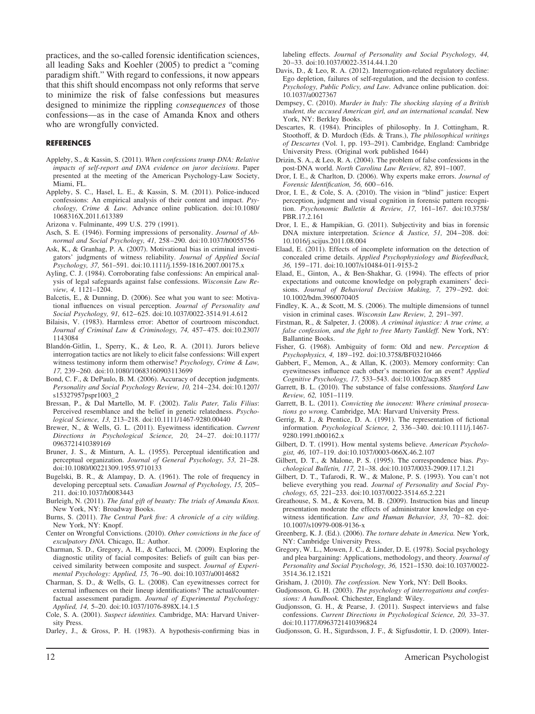practices, and the so-called forensic identification sciences, all leading Saks and Koehler (2005) to predict a "coming paradigm shift." With regard to confessions, it now appears that this shift should encompass not only reforms that serve to minimize the risk of false confessions but measures designed to minimize the rippling *consequences* of those confessions—as in the case of Amanda Knox and others who are wrongfully convicted.

#### **REFERENCES**

- Appleby, S., & Kassin, S. (2011). *When confessions trump DNA: Relative impacts of self-report and DNA evidence on juror decisions*. Paper presented at the meeting of the American Psychology-Law Society, Miami, FL.
- Appleby, S. C., Hasel, L. E., & Kassin, S. M. (2011). Police-induced confessions: An empirical analysis of their content and impact. *Psychology, Crime & Law.* Advance online publication. doi:10.1080/ 1068316X.2011.613389
- Arizona v. Fulminante, 499 U.S. 279 (1991).
- Asch, S. E. (1946). Forming impressions of personality. *Journal of Abnormal and Social Psychology, 41,* 258–290. doi:10.1037/h0055756
- Ask, K., & Granhag, P. A. (2007). Motivational bias in criminal investigators' judgments of witness reliability. *Journal of Applied Social Psychology, 37,* 561–591. doi:10.1111/j.1559-1816.2007.00175.x
- Ayling, C. J. (1984). Corroborating false confessions: An empirical analysis of legal safeguards against false confessions. *Wisconsin Law Review, 4,* 1121–1204.
- Balcetis, E., & Dunning, D. (2006). See what you want to see: Motivational influences on visual perception. *Journal of Personality and Social Psychology, 91,* 612–625. doi:10.1037/0022-3514.91.4.612
- Bilaisis, V. (1983). Harmless error: Abettor of courtroom misconduct. *Journal of Criminal Law & Criminology, 74,* 457–475. doi:10.2307/ 1143084
- Blandón-Gitlin, I., Sperry, K., & Leo, R. A. (2011). Jurors believe interrogation tactics are not likely to elicit false confessions: Will expert witness testimony inform them otherwise? *Psychology, Crime & Law, 17,* 239–260. doi:10.1080/10683160903113699
- Bond, C. F., & DePaulo, B. M. (2006). Accuracy of deception judgments. *Personality and Social Psychology Review, 10,* 214–234. doi:10.1207/ s15327957pspr1003\_2
- Bressan, P., & Dal Martello, M. F. (2002). *Talis Pater, Talis Filius*: Perceived resemblance and the belief in genetic relatedness. *Psychological Science, 13,* 213–218. doi:10.1111/1467-9280.00440
- Brewer, N., & Wells, G. L. (2011). Eyewitness identification. *Current Directions in Psychological Science, 20,* 24–27. doi:10.1177/ 0963721410389169
- Bruner, J. S., & Minturn, A. L. (1955). Perceptual identification and perceptual organization. *Journal of General Psychology, 53,* 21–28. doi:10.1080/00221309.1955.9710133
- Bugelski, B. R., & Alampay, D. A. (1961). The role of frequency in developing perceptual sets. *Canadian Journal of Psychology, 15,* 205– 211. doi:10.1037/h0083443
- Burleigh, N. (2011). *The fatal gift of beauty: The trials of Amanda Knox.* New York, NY: Broadway Books.
- Burns, S. (2011). *The Central Park five: A chronicle of a city wilding.* New York, NY: Knopf.
- Center on Wrongful Convictions. (2010). *Other convictions in the face of exculpatory DNA.* Chicago, IL: Author.
- Charman, S. D., Gregory, A. H., & Carlucci, M. (2009). Exploring the diagnostic utility of facial composites: Beliefs of guilt can bias perceived similarity between composite and suspect. *Journal of Experimental Psychology: Applied, 15,* 76–90. doi:10.1037/a0014682
- Charman, S. D., & Wells, G. L. (2008). Can eyewitnesses correct for external influences on their lineup identifications? The actual/counterfactual assessment paradigm. *Journal of Experimental Psychology: Applied, 14,* 5–20. doi:10.1037/1076-898X.14.1.5
- Cole, S. A. (2001). *Suspect identities.* Cambridge, MA: Harvard University Press.

Darley, J., & Gross, P. H. (1983). A hypothesis-confirming bias in

labeling effects. *Journal of Personality and Social Psychology, 44,* 20–33. doi:10.1037/0022-3514.44.1.20

- Davis, D., & Leo, R. A. (2012). Interrogation-related regulatory decline: Ego depletion, failures of self-regulation, and the decision to confess. *Psychology, Public Policy, and Law.* Advance online publication. doi: 10.1037/a0027367
- Dempsey, C. (2010). *Murder in Italy: The shocking slaying of a British student, the accused American girl, and an international scandal.* New York, NY: Berkley Books.
- Descartes, R. (1984). Principles of philosophy. In J. Cottingham, R. Stoothoff, & D. Murdoch (Eds. & Trans.), *The philosophical writings of Descartes* (Vol. 1, pp. 193–291). Cambridge, England: Cambridge University Press. (Original work published 1644)
- Drizin, S. A., & Leo, R. A. (2004). The problem of false confessions in the post-DNA world. *North Carolina Law Review, 82,* 891–1007.
- Dror, I. E., & Charlton, D. (2006). Why experts make errors. *Journal of Forensic Identification, 56,* 600–616.
- Dror, I. E., & Cole, S. A. (2010). The vision in "blind" justice: Expert perception, judgment and visual cognition in forensic pattern recognition. *Psychonomic Bulletin & Review, 17,* 161–167. doi:10.3758/ PBR.17.2.161
- Dror, I. E., & Hampikian, G. (2011). Subjectivity and bias in forensic DNA mixture interpretation. *Science & Justice, 51,* 204–208. doi: 10.1016/j.scijus.2011.08.004
- Elaad, E. (2011). Effects of incomplete information on the detection of concealed crime details. *Applied Psychophysiology and Biofeedback, 36,* 159–171. doi:10.1007/s10484-011-9153-2
- Elaad, E., Ginton, A., & Ben-Shakhar, G. (1994). The effects of prior expectations and outcome knowledge on polygraph examiners' decisions. *Journal of Behavioral Decision Making, 7,* 279–292. doi: 10.1002/bdm.3960070405
- Findley, K. A., & Scott, M. S. (2006). The multiple dimensions of tunnel vision in criminal cases. *Wisconsin Law Review, 2,* 291–397.
- Firstman, R., & Salpeter, J. (2008). *A criminal injustice: A true crime, a false confession, and the fight to free Marty Tankleff.* New York, NY: Ballantine Books.
- Fisher, G. (1968). Ambiguity of form: Old and new. *Perception & Psychophysics, 4,* 189–192. doi:10.3758/BF03210466
- Gabbert, F., Memon, A., & Allan, K. (2003). Memory conformity: Can eyewitnesses influence each other's memories for an event? *Applied Cognitive Psychology, 17,* 533–543. doi:10.1002/acp.885
- Garrett, B. L. (2010). The substance of false confessions. *Stanford Law Review, 62,* 1051–1119.
- Garrett, B. L. (2011). *Convicting the innocent: Where criminal prosecutions go wrong.* Cambridge, MA: Harvard University Press.
- Gerrig, R. J., & Prentice, D. A. (1991). The representation of fictional information. *Psychological Science, 2,* 336–340. doi:10.1111/j.1467- 9280.1991.tb00162.x
- Gilbert, D. T. (1991). How mental systems believe. *American Psychologist, 46,* 107–119. doi:10.1037/0003-066X.46.2.107
- Gilbert, D. T., & Malone, P. S. (1995). The correspondence bias. *Psychological Bulletin, 117,* 21–38. doi:10.1037/0033-2909.117.1.21
- Gilbert, D. T., Tafarodi, R. W., & Malone, P. S. (1993). You can't not believe everything you read. *Journal of Personality and Social Psychology, 65,* 221–233. doi:10.1037/0022-3514.65.2.221
- Greathouse, S. M., & Kovera, M. B. (2009). Instruction bias and lineup presentation moderate the effects of administrator knowledge on eyewitness identification. *Law and Human Behavior, 33,* 70–82. doi: 10.1007/s10979-008-9136-x
- Greenberg, K. J. (Ed.). (2006). *The torture debate in America.* New York, NY: Cambridge University Press.
- Gregory, W. L., Mowen, J. C., & Linder, D. E. (1978). Social psychology and plea bargaining: Applications, methodology, and theory. *Journal of Personality and Social Psychology, 36,* 1521–1530. doi:10.1037/0022- 3514.36.12.1521
- Grisham, J. (2010). *The confession.* New York, NY: Dell Books.
- Gudjonsson, G. H. (2003). *The psychology of interrogations and confessions: A handbook.* Chichester, England: Wiley.
- Gudjonsson, G. H., & Pearse, J. (2011). Suspect interviews and false confessions. *Current Directions in Psychological Science, 20,* 33–37. doi:10.1177/0963721410396824
- Gudjonsson, G. H., Sigurdsson, J. F., & Sigfusdottir, I. D. (2009). Inter-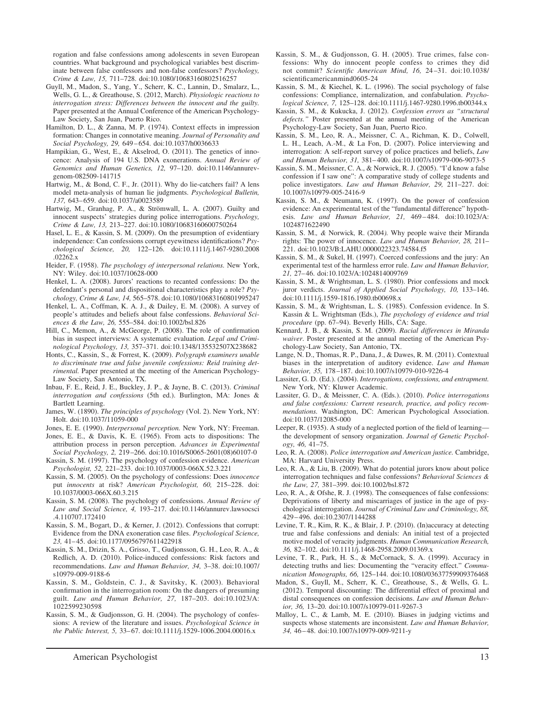rogation and false confessions among adolescents in seven European countries. What background and psychological variables best discriminate between false confessors and non-false confessors? *Psychology, Crime & Law, 15,* 711–728. doi:10.1080/10683160802516257

- Guyll, M., Madon, S., Yang, Y., Scherr, K. C., Lannin, D., Smalarz, L., Wells, G. L., & Greathouse, S. (2012, March). *Physiologic reactions to interrogation stress: Differences between the innocent and the guilty.* Paper presented at the Annual Conference of the American Psychology-Law Society, San Juan, Puerto Rico.
- Hamilton, D. L., & Zanna, M. P. (1974). Context effects in impression formation: Changes in connotative meaning. *Journal of Personality and Social Psychology, 29,* 649–654. doi:10.1037/h0036633
- Hampikian, G., West, E., & Akselrod, O. (2011). The genetics of innocence: Analysis of 194 U.S. DNA exonerations. *Annual Review of Genomics and Human Genetics, 12,* 97–120. doi:10.1146/annurevgenom-082509-141715
- Hartwig, M., & Bond, C. F., Jr. (2011). Why do lie-catchers fail? A lens model meta-analysis of human lie judgments. *Psychological Bulletin, 137,* 643–659. doi:10.1037/a0023589
- Hartwig, M., Granhag, P. A., & Strömwall, L. A. (2007). Guilty and innocent suspects' strategies during police interrogations. *Psychology, Crime & Law, 13,* 213–227. doi:10.1080/10683160600750264
- Hasel, L. E., & Kassin, S. M. (2009). On the presumption of evidentiary independence: Can confessions corrupt eyewitness identifications? *Psychological Science, 20,* 122–126. doi:10.1111/j.1467-9280.2008 .02262.x
- Heider, F. (1958). *The psychology of interpersonal relations.* New York, NY: Wiley. doi:10.1037/10628-000
- Henkel, L. A. (2008). Jurors' reactions to recanted confessions: Do the defendant's personal and dispositional characteristics play a role? *Psychology, Crime & Law, 14,* 565–578. doi:10.1080/10683160801995247
- Henkel, L. A., Coffman, K. A. J., & Dailey, E. M. (2008). A survey of people's attitudes and beliefs about false confessions. *Behavioral Sciences & the Law, 26,* 555–584. doi:10.1002/bsl.826
- Hill, C., Memon, A., & McGeorge, P. (2008). The role of confirmation bias in suspect interviews: A systematic evaluation. *Legal and Criminological Psychology, 13,* 357–371. doi:10.1348/135532507X238682
- Honts, C., Kassin, S., & Forrest, K. (2009). *Polygraph examiners unable to discriminate true and false juvenile confessions: Reid training detrimental.* Paper presented at the meeting of the American Psychology-Law Society, San Antonio, TX.
- Inbau, F. E., Reid, J. E., Buckley, J. P., & Jayne, B. C. (2013). *Criminal interrogation and confessions* (5th ed.). Burlington, MA: Jones & Bartlett Learning.
- James, W. (1890). *The principles of psychology* (Vol. 2). New York, NY: Holt. doi:10.1037/11059-000
- Jones, E. E. (1990). *Interpersonal perception.* New York, NY: Freeman.
- Jones, E. E., & Davis, K. E. (1965). From acts to dispositions: The attribution process in person perception. *Advances in Experimental Social Psychology, 2,* 219–266. doi:10.1016/S0065-2601(08)60107-0
- Kassin, S. M. (1997). The psychology of confession evidence. *American Psychologist, 52,* 221–233. doi:10.1037/0003-066X.52.3.221
- Kassin, S. M. (2005). On the psychology of confessions: Does *innocence* put *innocents* at risk? *American Psychologist, 60,* 215–228. doi: 10.1037/0003-066X.60.3.215
- Kassin, S. M. (2008). The psychology of confessions. *Annual Review of Law and Social Science, 4,* 193–217. doi:10.1146/annurev.lawsocsci .4.110707.172410
- Kassin, S. M., Bogart, D., & Kerner, J. (2012). Confessions that corrupt: Evidence from the DNA exoneration case files. *Psychological Science, 23,* 41–45. doi:10.1177/0956797611422918
- Kassin, S. M., Drizin, S. A., Grisso, T., Gudjonsson, G. H., Leo, R. A., & Redlich, A. D. (2010). Police-induced confessions: Risk factors and recommendations. *Law and Human Behavior, 34,* 3–38. doi:10.1007/ s10979-009-9188-6
- Kassin, S. M., Goldstein, C. J., & Savitsky, K. (2003). Behavioral confirmation in the interrogation room: On the dangers of presuming guilt. *Law and Human Behavior, 27,* 187–203. doi:10.1023/A: 1022599230598
- Kassin, S. M., & Gudjonsson, G. H. (2004). The psychology of confessions: A review of the literature and issues. *Psychological Science in the Public Interest, 5,* 33–67. doi:10.1111/j.1529-1006.2004.00016.x
- Kassin, S. M., & Gudjonsson, G. H. (2005). True crimes, false confessions: Why do innocent people confess to crimes they did not commit? *Scientific American Mind, 16,* 24–31. doi:10.1038/ scientificamericanmind0605-24
- Kassin, S. M., & Kiechel, K. L. (1996). The social psychology of false confessions: Compliance, internalization, and confabulation. *Psychological Science, 7,* 125–128. doi:10.1111/j.1467-9280.1996.tb00344.x
- Kassin, S. M., & Kukucka, J. (2012). *Confession errors as "structural defects."* Poster presented at the annual meeting of the American Psychology-Law Society, San Juan, Puerto Rico.
- Kassin, S. M., Leo, R. A., Meissner, C. A., Richman, K. D., Colwell, L. H., Leach, A.-M., & La Fon, D. (2007). Police interviewing and interrogation: A self-report survey of police practices and beliefs, *Law and Human Behavior, 31,* 381–400. doi:10.1007/s10979-006-9073-5
- Kassin, S. M., Meissner, C. A., & Norwick, R. J. (2005). "I'd know a false confession if I saw one": A comparative study of college students and police investigators. *Law and Human Behavior, 29,* 211–227. doi: 10.1007/s10979-005-2416-9
- Kassin, S. M., & Neumann, K. (1997). On the power of confession evidence: An experimental test of the "fundamental difference" hypothesis. *Law and Human Behavior, 21,* 469–484. doi:10.1023/A: 1024871622490
- Kassin*,* S. M.*, &* Norwick*,* R. (2004*).* Why people waive their Miranda rights: The power of innocence. *Law and Human Behavior, 28,* 211– 221. doi:10.1023/B:LAHU.0000022323.74584.f5
- Kassin, S. M., & Sukel, H. (1997). Coerced confessions and the jury: An experimental test of the harmless error rule. *Law and Human Behavior, 21,* 27–46. doi:10.1023/A:1024814009769
- Kassin, S. M., & Wrightsman, L. S. (1980). Prior confessions and mock juror verdicts. *Journal of Applied Social Psychology, 10,* 133–146. doi:10.1111/j.1559-1816.1980.tb00698.x
- Kassin, S. M., & Wrightsman, L. S. (1985). Confession evidence. In S. Kassin & L. Wrightsman (Eds.), *The psychology of evidence and trial procedure* (pp. 67–94). Beverly Hills, CA: Sage.
- Kennard, J. B., & Kassin, S. M. (2009). *Racial differences in Miranda waiver*. Poster presented at the annual meeting of the American Psychology-Law Society, San Antonio, TX.
- Lange, N. D., Thomas, R. P., Dana, J., & Dawes, R. M. (2011). Contextual biases in the interpretation of auditory evidence. *Law and Human Behavior, 35,* 178–187. doi:10.1007/s10979-010-9226-4
- Lassiter, G. D. (Ed.). (2004). *Interrogations, confessions, and entrapment.* New York, NY: Kluwer Academic.
- Lassiter, G. D., & Meissner, C. A. (Eds.). (2010). *Police interrogations and false confessions: Current research, practice, and policy recommendations.* Washington, DC: American Psychological Association. doi:10.1037/12085-000
- Leeper, R. (1935). A study of a neglected portion of the field of learning the development of sensory organization. *Journal of Genetic Psychology, 46,* 41–75.
- Leo, R. A. (2008). *Police interrogation and American justice.* Cambridge, MA: Harvard University Press.
- Leo, R. A., & Liu, B. (2009). What do potential jurors know about police interrogation techniques and false confessions? *Behavioral Sciences & the Law, 27,* 381–399. doi:10.1002/bsl.872
- Leo, R. A., & Ofshe, R. J. (1998). The consequences of false confessions: Deprivations of liberty and miscarriages of justice in the age of psychological interrogation. *Journal of Criminal Law and Criminology, 88,* 429–496. doi:10.2307/1144288
- Levine, T. R., Kim, R. K., & Blair, J. P. (2010). (In)accuracy at detecting true and false confessions and denials: An initial test of a projected motive model of veracity judgments. *Human Communication Research, 36,* 82–102. doi:10.1111/j.1468-2958.2009.01369.x
- Levine, T. R., Park, H. S., & McCornack, S. A. (1999). Accuracy in detecting truths and lies: Documenting the "veracity effect." *Communication Monographs, 66,* 125–144. doi:10.1080/03637759909376468
- Madon, S., Guyll, M., Scherr, K. C., Greathouse, S., & Wells, G. L. (2012). Temporal discounting: The differential effect of proximal and distal consequences on confession decisions. *Law and Human Behavior, 36,* 13–20*.* doi:10.1007/s10979-011-9267-3
- Malloy, L. C., & Lamb, M. E. (2010). Biases in judging victims and suspects whose statements are inconsistent. *Law and Human Behavior, 34,* 46–48. doi:10.1007/s10979-009-9211-y